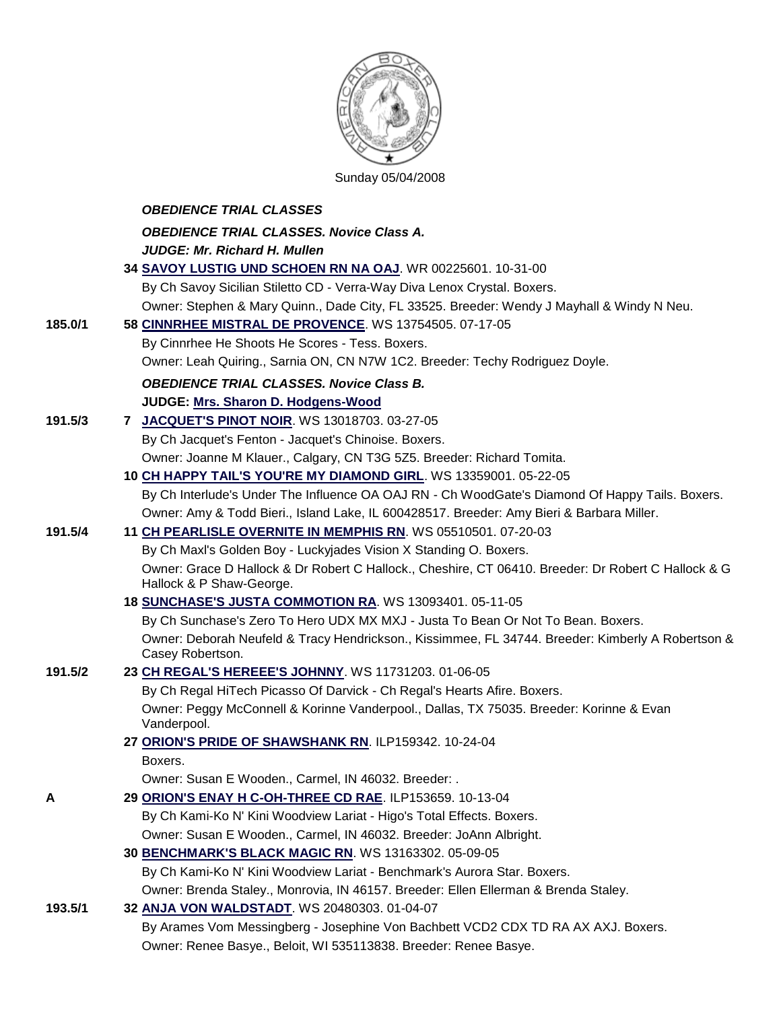

Sunday 05/04/2008

|         | <b>OBEDIENCE TRIAL CLASSES</b>                                                                                                  |
|---------|---------------------------------------------------------------------------------------------------------------------------------|
|         | <b>OBEDIENCE TRIAL CLASSES. Novice Class A.</b>                                                                                 |
|         | <b>JUDGE: Mr. Richard H. Mullen</b>                                                                                             |
|         | 34 SAVOY LUSTIG UND SCHOEN RN NA OAJ. WR 00225601. 10-31-00                                                                     |
|         | By Ch Savoy Sicilian Stiletto CD - Verra-Way Diva Lenox Crystal. Boxers.                                                        |
|         | Owner: Stephen & Mary Quinn., Dade City, FL 33525. Breeder: Wendy J Mayhall & Windy N Neu.                                      |
| 185.0/1 | 58 CINNRHEE MISTRAL DE PROVENCE. WS 13754505. 07-17-05                                                                          |
|         | By Cinnrhee He Shoots He Scores - Tess. Boxers.                                                                                 |
|         | Owner: Leah Quiring., Sarnia ON, CN N7W 1C2. Breeder: Techy Rodriguez Doyle.                                                    |
|         | <b>OBEDIENCE TRIAL CLASSES. Novice Class B.</b>                                                                                 |
|         | JUDGE: Mrs. Sharon D. Hodgens-Wood                                                                                              |
| 191.5/3 | 7 JACQUET'S PINOT NOIR. WS 13018703. 03-27-05                                                                                   |
|         | By Ch Jacquet's Fenton - Jacquet's Chinoise. Boxers.                                                                            |
|         | Owner: Joanne M Klauer., Calgary, CN T3G 5Z5. Breeder: Richard Tomita.                                                          |
|         | 10 CH HAPPY TAIL'S YOU'RE MY DIAMOND GIRL. WS 13359001. 05-22-05                                                                |
|         | By Ch Interlude's Under The Influence OA OAJ RN - Ch WoodGate's Diamond Of Happy Tails. Boxers.                                 |
|         | Owner: Amy & Todd Bieri., Island Lake, IL 600428517. Breeder: Amy Bieri & Barbara Miller.                                       |
| 191.5/4 | 11 CH PEARLISLE OVERNITE IN MEMPHIS RN. WS 05510501. 07-20-03                                                                   |
|         | By Ch Maxl's Golden Boy - Luckyjades Vision X Standing O. Boxers.                                                               |
|         | Owner: Grace D Hallock & Dr Robert C Hallock., Cheshire, CT 06410. Breeder: Dr Robert C Hallock & G<br>Hallock & P Shaw-George. |
|         | 18 SUNCHASE'S JUSTA COMMOTION RA. WS 13093401. 05-11-05                                                                         |
|         | By Ch Sunchase's Zero To Hero UDX MX MXJ - Justa To Bean Or Not To Bean. Boxers.                                                |
|         | Owner: Deborah Neufeld & Tracy Hendrickson., Kissimmee, FL 34744. Breeder: Kimberly A Robertson &<br>Casey Robertson.           |
| 191.5/2 | 23 CH REGAL'S HEREEE'S JOHNNY. WS 11731203. 01-06-05                                                                            |
|         | By Ch Regal HiTech Picasso Of Darvick - Ch Regal's Hearts Afire. Boxers.                                                        |
|         | Owner: Peggy McConnell & Korinne Vanderpool., Dallas, TX 75035. Breeder: Korinne & Evan<br>Vanderpool.                          |
|         | 27 ORION'S PRIDE OF SHAWSHANK RN. ILP159342. 10-24-04                                                                           |
|         | Boxers.                                                                                                                         |
|         | Owner: Susan E Wooden., Carmel, IN 46032. Breeder: .                                                                            |
| Α       | 29 ORION'S ENAY H C-OH-THREE CD RAE. ILP153659. 10-13-04                                                                        |
|         | By Ch Kami-Ko N' Kini Woodview Lariat - Higo's Total Effects. Boxers.                                                           |
|         | Owner: Susan E Wooden., Carmel, IN 46032. Breeder: JoAnn Albright.                                                              |
|         | 30 BENCHMARK'S BLACK MAGIC RN. WS 13163302. 05-09-05                                                                            |
|         | By Ch Kami-Ko N' Kini Woodview Lariat - Benchmark's Aurora Star. Boxers.                                                        |
|         | Owner: Brenda Staley., Monrovia, IN 46157. Breeder: Ellen Ellerman & Brenda Staley.                                             |
| 193.5/1 | 32 ANJA VON WALDSTADT. WS 20480303. 01-04-07                                                                                    |
|         | By Arames Vom Messingberg - Josephine Von Bachbett VCD2 CDX TD RA AX AXJ. Boxers.                                               |
|         | Owner: Renee Basye., Beloit, WI 535113838. Breeder: Renee Basye.                                                                |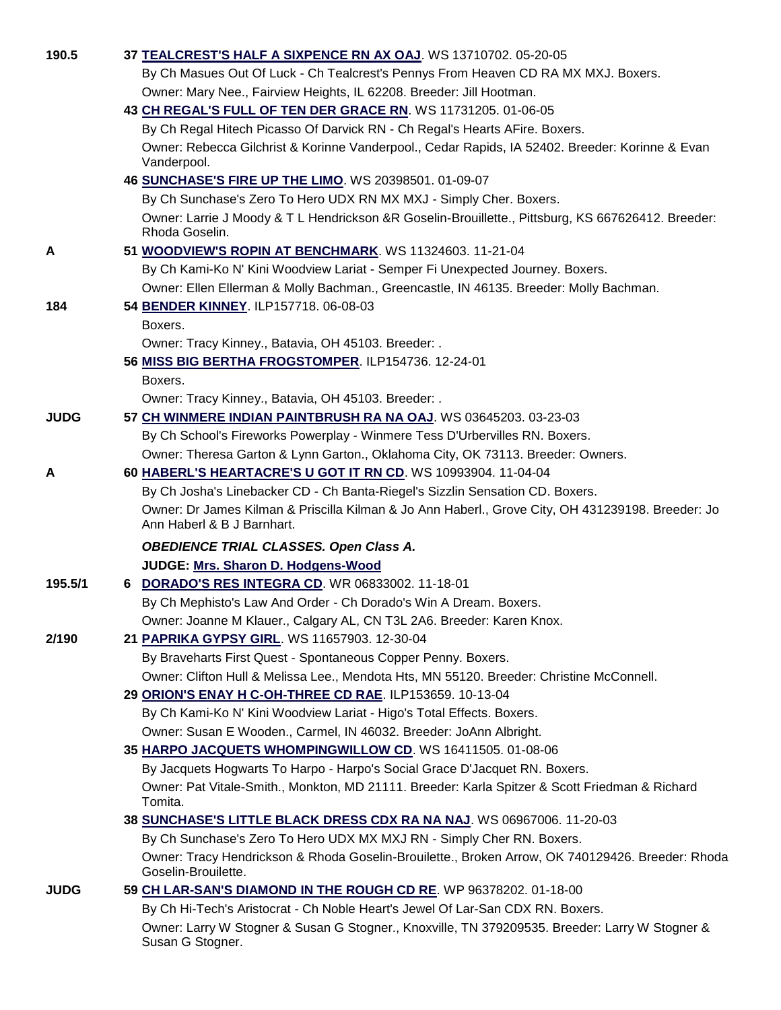| 190.5       | 37 TEALCREST'S HALF A SIXPENCE RN AX OAJ. WS 13710702. 05-20-05                                                                 |
|-------------|---------------------------------------------------------------------------------------------------------------------------------|
|             | By Ch Masues Out Of Luck - Ch Tealcrest's Pennys From Heaven CD RA MX MXJ. Boxers.                                              |
|             | Owner: Mary Nee., Fairview Heights, IL 62208. Breeder: Jill Hootman.                                                            |
|             | 43 CH REGAL'S FULL OF TEN DER GRACE RN. WS 11731205. 01-06-05                                                                   |
|             | By Ch Regal Hitech Picasso Of Darvick RN - Ch Regal's Hearts AFire. Boxers.                                                     |
|             | Owner: Rebecca Gilchrist & Korinne Vanderpool., Cedar Rapids, IA 52402. Breeder: Korinne & Evan<br>Vanderpool.                  |
|             | 46 SUNCHASE'S FIRE UP THE LIMO. WS 20398501. 01-09-07                                                                           |
|             | By Ch Sunchase's Zero To Hero UDX RN MX MXJ - Simply Cher. Boxers.                                                              |
|             | Owner: Larrie J Moody & T L Hendrickson &R Goselin-Brouillette., Pittsburg, KS 667626412. Breeder:<br>Rhoda Goselin.            |
| Α           | 51 WOODVIEW'S ROPIN AT BENCHMARK. WS 11324603. 11-21-04                                                                         |
|             | By Ch Kami-Ko N' Kini Woodview Lariat - Semper Fi Unexpected Journey. Boxers.                                                   |
|             | Owner: Ellen Ellerman & Molly Bachman., Greencastle, IN 46135. Breeder: Molly Bachman.                                          |
| 184         | 54 BENDER KINNEY. ILP157718. 06-08-03                                                                                           |
|             | Boxers.                                                                                                                         |
|             | Owner: Tracy Kinney., Batavia, OH 45103. Breeder: .                                                                             |
|             | 56 MISS BIG BERTHA FROGSTOMPER. ILP154736. 12-24-01                                                                             |
|             | Boxers.                                                                                                                         |
|             | Owner: Tracy Kinney., Batavia, OH 45103. Breeder: .                                                                             |
| <b>JUDG</b> | 57 CH WINMERE INDIAN PAINTBRUSH RA NA OAJ. WS 03645203. 03-23-03                                                                |
|             | By Ch School's Fireworks Powerplay - Winmere Tess D'Urbervilles RN. Boxers.                                                     |
|             | Owner: Theresa Garton & Lynn Garton., Oklahoma City, OK 73113. Breeder: Owners.                                                 |
| Α           | 60 HABERL'S HEARTACRE'S U GOT IT RN CD. WS 10993904. 11-04-04                                                                   |
|             | By Ch Josha's Linebacker CD - Ch Banta-Riegel's Sizzlin Sensation CD. Boxers.                                                   |
|             | Owner: Dr James Kilman & Priscilla Kilman & Jo Ann Haberl., Grove City, OH 431239198. Breeder: Jo<br>Ann Haberl & B J Barnhart. |
|             | <b>OBEDIENCE TRIAL CLASSES. Open Class A.</b>                                                                                   |
|             | JUDGE: Mrs. Sharon D. Hodgens-Wood                                                                                              |
| 195.5/1     | 6 DORADO'S RES INTEGRA CD. WR 06833002. 11-18-01                                                                                |
|             | By Ch Mephisto's Law And Order - Ch Dorado's Win A Dream. Boxers.                                                               |
|             | Owner: Joanne M Klauer., Calgary AL, CN T3L 2A6. Breeder: Karen Knox.                                                           |
| 2/190       | 21 PAPRIKA GYPSY GIRL. WS 11657903. 12-30-04                                                                                    |
|             | By Braveharts First Quest - Spontaneous Copper Penny. Boxers.                                                                   |
|             | Owner: Clifton Hull & Melissa Lee., Mendota Hts, MN 55120. Breeder: Christine McConnell.                                        |
|             | 29 ORION'S ENAY H C-OH-THREE CD RAE. ILP153659. 10-13-04                                                                        |
|             | By Ch Kami-Ko N' Kini Woodview Lariat - Higo's Total Effects. Boxers.                                                           |
|             | Owner: Susan E Wooden., Carmel, IN 46032. Breeder: JoAnn Albright.                                                              |
|             | 35 HARPO JACQUETS WHOMPINGWILLOW CD. WS 16411505. 01-08-06                                                                      |
|             | By Jacquets Hogwarts To Harpo - Harpo's Social Grace D'Jacquet RN. Boxers.                                                      |
|             | Owner: Pat Vitale-Smith., Monkton, MD 21111. Breeder: Karla Spitzer & Scott Friedman & Richard                                  |
|             | Tomita.<br>38 SUNCHASE'S LITTLE BLACK DRESS CDX RA NA NAJ. WS 06967006. 11-20-03                                                |
|             | By Ch Sunchase's Zero To Hero UDX MX MXJ RN - Simply Cher RN. Boxers.                                                           |
|             | Owner: Tracy Hendrickson & Rhoda Goselin-Brouilette., Broken Arrow, OK 740129426. Breeder: Rhoda                                |
|             | Goselin-Brouilette.                                                                                                             |
| <b>JUDG</b> | 59 CH LAR-SAN'S DIAMOND IN THE ROUGH CD RE. WP 96378202. 01-18-00                                                               |
|             | By Ch Hi-Tech's Aristocrat - Ch Noble Heart's Jewel Of Lar-San CDX RN. Boxers.                                                  |
|             | Owner: Larry W Stogner & Susan G Stogner., Knoxville, TN 379209535. Breeder: Larry W Stogner &<br>Susan G Stogner.              |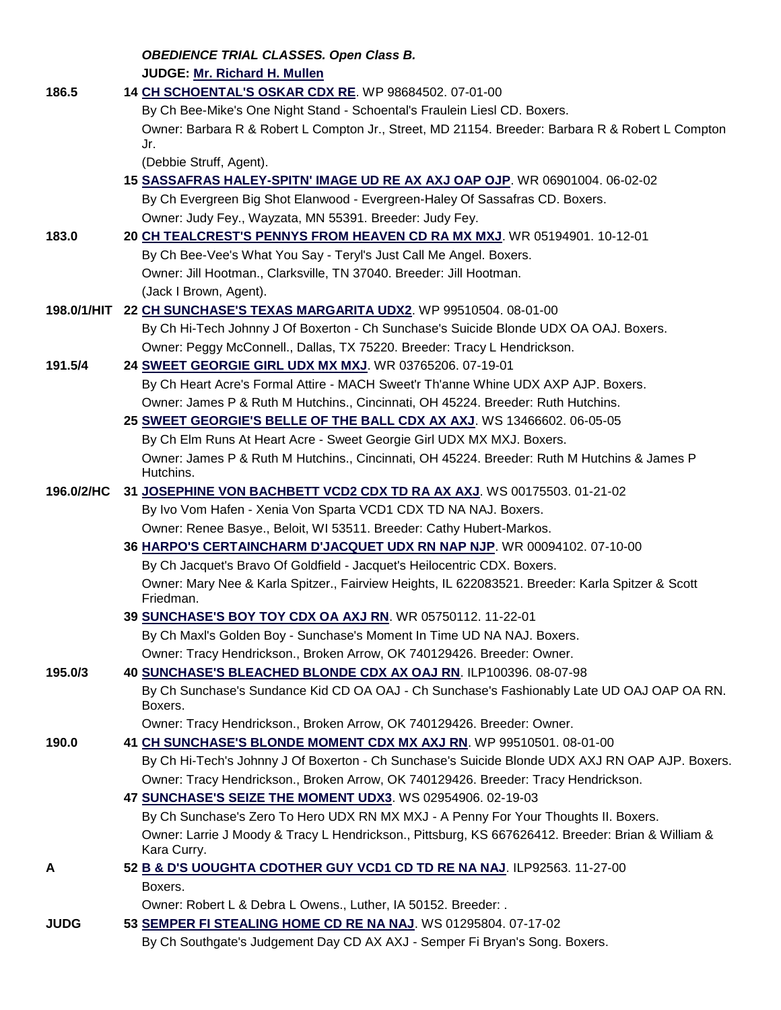*OBEDIENCE TRIAL CLASSES. Open Class B.* **JUDGE: [Mr. Richard H. Mullen](http://www.infodog.com/judges/3052/juddat.htm)** 

| 186.5       | 14 CH SCHOENTAL'S OSKAR CDX RE. WP 98684502. 07-01-00                                                                                                                  |
|-------------|------------------------------------------------------------------------------------------------------------------------------------------------------------------------|
|             | By Ch Bee-Mike's One Night Stand - Schoental's Fraulein Liesl CD. Boxers.                                                                                              |
|             | Owner: Barbara R & Robert L Compton Jr., Street, MD 21154. Breeder: Barbara R & Robert L Compton                                                                       |
|             | Jr.<br>(Debbie Struff, Agent).                                                                                                                                         |
|             | 15 SASSAFRAS HALEY-SPITN' IMAGE UD RE AX AXJ OAP OJP. WR 06901004. 06-02-02                                                                                            |
|             | By Ch Evergreen Big Shot Elanwood - Evergreen-Haley Of Sassafras CD. Boxers.                                                                                           |
|             | Owner: Judy Fey., Wayzata, MN 55391. Breeder: Judy Fey.                                                                                                                |
| 183.0       | 20 CH TEALCREST'S PENNYS FROM HEAVEN CD RA MX MXJ. WR 05194901. 10-12-01                                                                                               |
|             | By Ch Bee-Vee's What You Say - Teryl's Just Call Me Angel. Boxers.                                                                                                     |
|             | Owner: Jill Hootman., Clarksville, TN 37040. Breeder: Jill Hootman.                                                                                                    |
|             | (Jack I Brown, Agent).                                                                                                                                                 |
|             | 198.0/1/HIT 22 CH SUNCHASE'S TEXAS MARGARITA UDX2. WP 99510504. 08-01-00                                                                                               |
|             | By Ch Hi-Tech Johnny J Of Boxerton - Ch Sunchase's Suicide Blonde UDX OA OAJ. Boxers.                                                                                  |
|             | Owner: Peggy McConnell., Dallas, TX 75220. Breeder: Tracy L Hendrickson.                                                                                               |
| 191.5/4     | 24 SWEET GEORGIE GIRL UDX MX MXJ. WR 03765206. 07-19-01                                                                                                                |
|             | By Ch Heart Acre's Formal Attire - MACH Sweet'r Th'anne Whine UDX AXP AJP. Boxers.                                                                                     |
|             | Owner: James P & Ruth M Hutchins., Cincinnati, OH 45224. Breeder: Ruth Hutchins.                                                                                       |
|             | 25 SWEET GEORGIE'S BELLE OF THE BALL CDX AX AXJ. WS 13466602. 06-05-05                                                                                                 |
|             | By Ch Elm Runs At Heart Acre - Sweet Georgie Girl UDX MX MXJ. Boxers.                                                                                                  |
|             | Owner: James P & Ruth M Hutchins., Cincinnati, OH 45224. Breeder: Ruth M Hutchins & James P                                                                            |
|             | Hutchins.                                                                                                                                                              |
| 196.0/2/HC  | 31 JOSEPHINE VON BACHBETT VCD2 CDX TD RA AX AXJ. WS 00175503. 01-21-02                                                                                                 |
|             | By Ivo Vom Hafen - Xenia Von Sparta VCD1 CDX TD NA NAJ. Boxers.                                                                                                        |
|             | Owner: Renee Basye., Beloit, WI 53511. Breeder: Cathy Hubert-Markos.                                                                                                   |
|             | 36 HARPO'S CERTAINCHARM D'JACQUET UDX RN NAP NJP. WR 00094102. 07-10-00                                                                                                |
|             | By Ch Jacquet's Bravo Of Goldfield - Jacquet's Heilocentric CDX. Boxers.                                                                                               |
|             | Owner: Mary Nee & Karla Spitzer., Fairview Heights, IL 622083521. Breeder: Karla Spitzer & Scott<br>Friedman.                                                          |
|             | 39 SUNCHASE'S BOY TOY CDX OA AXJ RN. WR 05750112. 11-22-01                                                                                                             |
|             | By Ch Maxl's Golden Boy - Sunchase's Moment In Time UD NA NAJ. Boxers.                                                                                                 |
|             | Owner: Tracy Hendrickson., Broken Arrow, OK 740129426. Breeder: Owner.                                                                                                 |
| 195.0/3     | 40 SUNCHASE'S BLEACHED BLONDE CDX AX OAJ RN. ILP100396. 08-07-98                                                                                                       |
|             | By Ch Sunchase's Sundance Kid CD OA OAJ - Ch Sunchase's Fashionably Late UD OAJ OAP OA RN.                                                                             |
|             | Boxers.                                                                                                                                                                |
| 190.0       | Owner: Tracy Hendrickson., Broken Arrow, OK 740129426. Breeder: Owner.                                                                                                 |
|             | 41 CH SUNCHASE'S BLONDE MOMENT CDX MX AXJ RN. WP 99510501. 08-01-00<br>By Ch Hi-Tech's Johnny J Of Boxerton - Ch Sunchase's Suicide Blonde UDX AXJ RN OAP AJP. Boxers. |
|             | Owner: Tracy Hendrickson., Broken Arrow, OK 740129426. Breeder: Tracy Hendrickson.                                                                                     |
|             | 47 SUNCHASE'S SEIZE THE MOMENT UDX3. WS 02954906. 02-19-03                                                                                                             |
|             | By Ch Sunchase's Zero To Hero UDX RN MX MXJ - A Penny For Your Thoughts II. Boxers.                                                                                    |
|             | Owner: Larrie J Moody & Tracy L Hendrickson., Pittsburg, KS 667626412. Breeder: Brian & William &                                                                      |
|             | Kara Curry.                                                                                                                                                            |
| A           | 52 B & D'S UOUGHTA CDOTHER GUY VCD1 CD TD RE NA NAJ. ILP92563. 11-27-00                                                                                                |
|             | Boxers.                                                                                                                                                                |
|             | Owner: Robert L & Debra L Owens., Luther, IA 50152. Breeder: .                                                                                                         |
| <b>JUDG</b> | 53 SEMPER FI STEALING HOME CD RE NA NAJ. WS 01295804. 07-17-02                                                                                                         |

By Ch Southgate's Judgement Day CD AX AXJ - Semper Fi Bryan's Song. Boxers.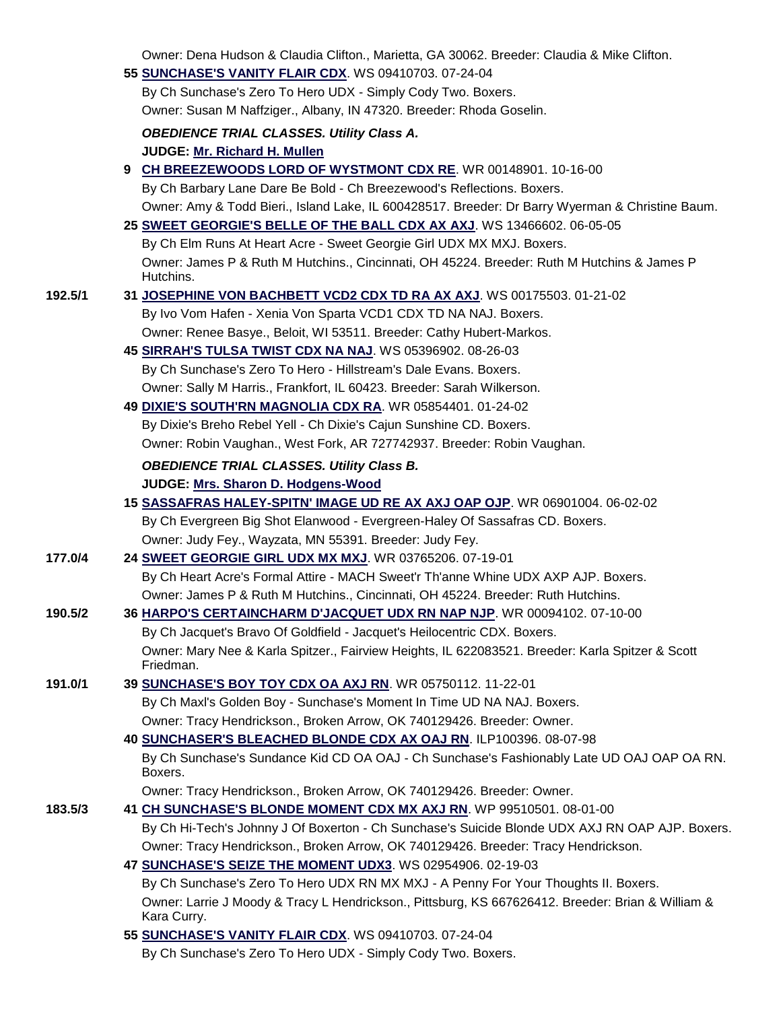|         | Owner. Dena Huusun & Claudia Cilitum, Manetta, GA 30002. Dieeder. Claudia & Mike Cilitum.                        |
|---------|------------------------------------------------------------------------------------------------------------------|
|         | 55 SUNCHASE'S VANITY FLAIR CDX. WS 09410703. 07-24-04                                                            |
|         | By Ch Sunchase's Zero To Hero UDX - Simply Cody Two. Boxers.                                                     |
|         | Owner: Susan M Naffziger., Albany, IN 47320. Breeder: Rhoda Goselin.                                             |
|         | <b>OBEDIENCE TRIAL CLASSES. Utility Class A.</b>                                                                 |
|         | JUDGE: Mr. Richard H. Mullen                                                                                     |
|         | 9 CH BREEZEWOODS LORD OF WYSTMONT CDX RE. WR 00148901. 10-16-00                                                  |
|         | By Ch Barbary Lane Dare Be Bold - Ch Breezewood's Reflections. Boxers.                                           |
|         | Owner: Amy & Todd Bieri., Island Lake, IL 600428517. Breeder: Dr Barry Wyerman & Christine Baum.                 |
|         | 25 SWEET GEORGIE'S BELLE OF THE BALL CDX AX AXJ. WS 13466602. 06-05-05                                           |
|         | By Ch Elm Runs At Heart Acre - Sweet Georgie Girl UDX MX MXJ. Boxers.                                            |
|         | Owner: James P & Ruth M Hutchins., Cincinnati, OH 45224. Breeder: Ruth M Hutchins & James P                      |
|         | Hutchins.                                                                                                        |
| 192.5/1 | 31 JOSEPHINE VON BACHBETT VCD2 CDX TD RA AX AXJ. WS 00175503. 01-21-02                                           |
|         | By Ivo Vom Hafen - Xenia Von Sparta VCD1 CDX TD NA NAJ. Boxers.                                                  |
|         | Owner: Renee Basye., Beloit, WI 53511. Breeder: Cathy Hubert-Markos.                                             |
|         | 45 SIRRAH'S TULSA TWIST CDX NA NAJ. WS 05396902. 08-26-03                                                        |
|         | By Ch Sunchase's Zero To Hero - Hillstream's Dale Evans. Boxers.                                                 |
|         | Owner: Sally M Harris., Frankfort, IL 60423. Breeder: Sarah Wilkerson.                                           |
|         | 49 DIXIE'S SOUTH'RN MAGNOLIA CDX RA. WR 05854401. 01-24-02                                                       |
|         | By Dixie's Breho Rebel Yell - Ch Dixie's Cajun Sunshine CD. Boxers.                                              |
|         | Owner: Robin Vaughan., West Fork, AR 727742937. Breeder: Robin Vaughan.                                          |
|         | <b>OBEDIENCE TRIAL CLASSES. Utility Class B.</b>                                                                 |
|         | JUDGE: Mrs. Sharon D. Hodgens-Wood                                                                               |
|         | 15 SASSAFRAS HALEY-SPITN' IMAGE UD RE AX AXJ OAP OJP. WR 06901004. 06-02-02                                      |
|         | By Ch Evergreen Big Shot Elanwood - Evergreen-Haley Of Sassafras CD. Boxers.                                     |
|         | Owner: Judy Fey., Wayzata, MN 55391. Breeder: Judy Fey.                                                          |
| 177.0/4 | 24 SWEET GEORGIE GIRL UDX MX MXJ. WR 03765206. 07-19-01                                                          |
|         | By Ch Heart Acre's Formal Attire - MACH Sweet'r Th'anne Whine UDX AXP AJP. Boxers.                               |
|         | Owner: James P & Ruth M Hutchins., Cincinnati, OH 45224. Breeder: Ruth Hutchins.                                 |
| 190.5/2 | 36 HARPO'S CERTAINCHARM D'JACQUET UDX RN NAP NJP. WR 00094102. 07-10-00                                          |
|         | By Ch Jacquet's Bravo Of Goldfield - Jacquet's Heilocentric CDX. Boxers.                                         |
|         | Owner: Mary Nee & Karla Spitzer., Fairview Heights, IL 622083521. Breeder: Karla Spitzer & Scott<br>Friedman.    |
| 191.0/1 | 39 SUNCHASE'S BOY TOY CDX OA AXJ RN. WR 05750112. 11-22-01                                                       |
|         | By Ch Maxl's Golden Boy - Sunchase's Moment In Time UD NA NAJ. Boxers.                                           |
|         | Owner: Tracy Hendrickson., Broken Arrow, OK 740129426. Breeder: Owner.                                           |
|         | 40 SUNCHASER'S BLEACHED BLONDE CDX AX OAJ RN. ILP100396. 08-07-98                                                |
|         | By Ch Sunchase's Sundance Kid CD OA OAJ - Ch Sunchase's Fashionably Late UD OAJ OAP OA RN.<br>Boxers.            |
|         | Owner: Tracy Hendrickson., Broken Arrow, OK 740129426. Breeder: Owner.                                           |
| 183.5/3 | 41 CH SUNCHASE'S BLONDE MOMENT CDX MX AXJ RN. WP 99510501. 08-01-00                                              |
|         | By Ch Hi-Tech's Johnny J Of Boxerton - Ch Sunchase's Suicide Blonde UDX AXJ RN OAP AJP. Boxers.                  |
|         | Owner: Tracy Hendrickson., Broken Arrow, OK 740129426. Breeder: Tracy Hendrickson.                               |
|         | 47 SUNCHASE'S SEIZE THE MOMENT UDX3. WS 02954906. 02-19-03                                                       |
|         | By Ch Sunchase's Zero To Hero UDX RN MX MXJ - A Penny For Your Thoughts II. Boxers.                              |
|         | Owner: Larrie J Moody & Tracy L Hendrickson., Pittsburg, KS 667626412. Breeder: Brian & William &<br>Kara Curry. |
|         | 55 SUNCHASE'S VANITY FLAIR CDX. WS 09410703. 07-24-04                                                            |
|         |                                                                                                                  |

By Ch Sunchase's Zero To Hero UDX - Simply Cody Two. Boxers.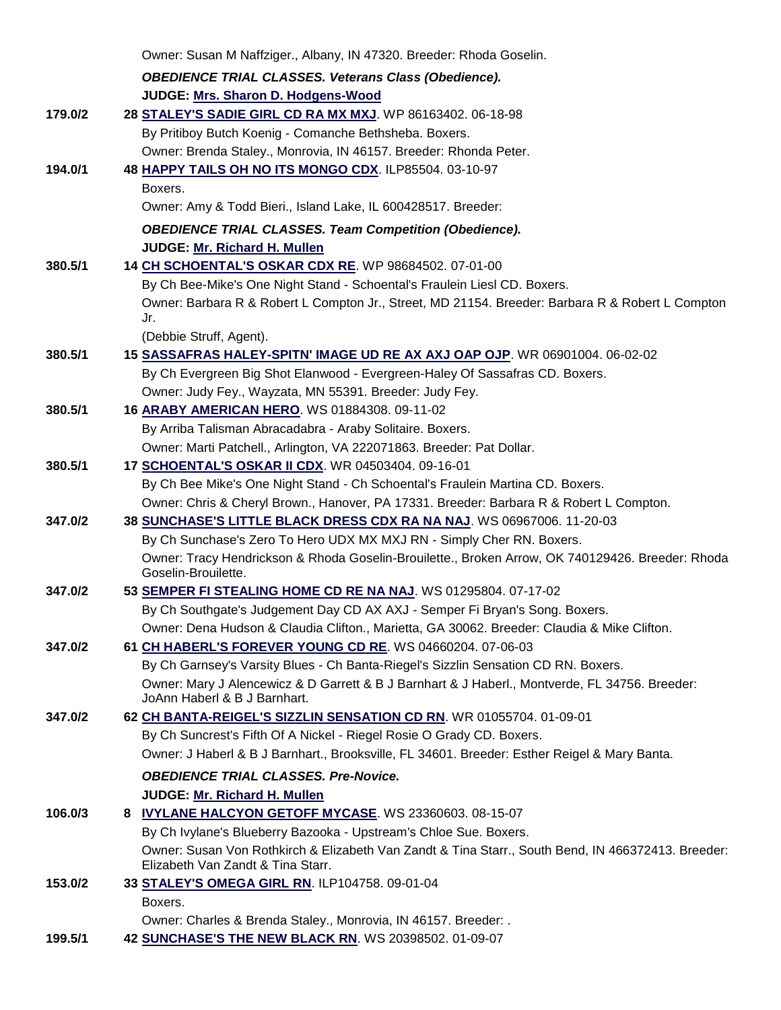|         | Owner: Susan M Naffziger., Albany, IN 47320. Breeder: Rhoda Goselin.                                                           |
|---------|--------------------------------------------------------------------------------------------------------------------------------|
|         | <b>OBEDIENCE TRIAL CLASSES. Veterans Class (Obedience).</b>                                                                    |
|         | JUDGE: Mrs. Sharon D. Hodgens-Wood                                                                                             |
| 179.0/2 | 28 STALEY'S SADIE GIRL CD RA MX MXJ. WP 86163402. 06-18-98                                                                     |
|         | By Pritiboy Butch Koenig - Comanche Bethsheba. Boxers.                                                                         |
|         | Owner: Brenda Staley., Monrovia, IN 46157. Breeder: Rhonda Peter.                                                              |
| 194.0/1 | 48 HAPPY TAILS OH NO ITS MONGO CDX. ILP85504. 03-10-97                                                                         |
|         | Boxers.                                                                                                                        |
|         | Owner: Amy & Todd Bieri., Island Lake, IL 600428517. Breeder:                                                                  |
|         | <b>OBEDIENCE TRIAL CLASSES. Team Competition (Obedience).</b>                                                                  |
|         | JUDGE: Mr. Richard H. Mullen                                                                                                   |
| 380.5/1 | 14 CH SCHOENTAL'S OSKAR CDX RE. WP 98684502. 07-01-00                                                                          |
|         | By Ch Bee-Mike's One Night Stand - Schoental's Fraulein Liesl CD. Boxers.                                                      |
|         | Owner: Barbara R & Robert L Compton Jr., Street, MD 21154. Breeder: Barbara R & Robert L Compton                               |
|         | Jr.                                                                                                                            |
|         | (Debbie Struff, Agent).                                                                                                        |
| 380.5/1 | 15 SASSAFRAS HALEY-SPITN' IMAGE UD RE AX AXJ OAP OJP. WR 06901004. 06-02-02                                                    |
|         | By Ch Evergreen Big Shot Elanwood - Evergreen-Haley Of Sassafras CD. Boxers.                                                   |
| 380.5/1 | Owner: Judy Fey., Wayzata, MN 55391. Breeder: Judy Fey.<br>16 ARABY AMERICAN HERO. WS 01884308. 09-11-02                       |
|         | By Arriba Talisman Abracadabra - Araby Solitaire. Boxers.                                                                      |
|         | Owner: Marti Patchell., Arlington, VA 222071863. Breeder: Pat Dollar.                                                          |
| 380.5/1 | 17 SCHOENTAL'S OSKAR II CDX. WR 04503404. 09-16-01                                                                             |
|         | By Ch Bee Mike's One Night Stand - Ch Schoental's Fraulein Martina CD. Boxers.                                                 |
|         | Owner: Chris & Cheryl Brown., Hanover, PA 17331. Breeder: Barbara R & Robert L Compton.                                        |
| 347.0/2 | 38 SUNCHASE'S LITTLE BLACK DRESS CDX RA NA NAJ. WS 06967006. 11-20-03                                                          |
|         | By Ch Sunchase's Zero To Hero UDX MX MXJ RN - Simply Cher RN. Boxers.                                                          |
|         | Owner: Tracy Hendrickson & Rhoda Goselin-Brouilette., Broken Arrow, OK 740129426. Breeder: Rhoda                               |
|         | Goselin-Brouilette.                                                                                                            |
| 347.0/2 | 53 SEMPER FI STEALING HOME CD RE NA NAJ. WS 01295804. 07-17-02                                                                 |
|         | By Ch Southgate's Judgement Day CD AX AXJ - Semper Fi Bryan's Song. Boxers.                                                    |
|         | Owner: Dena Hudson & Claudia Clifton., Marietta, GA 30062. Breeder: Claudia & Mike Clifton.                                    |
| 347.0/2 | 61 CH HABERL'S FOREVER YOUNG CD RE. WS 04660204. 07-06-03                                                                      |
|         | By Ch Garnsey's Varsity Blues - Ch Banta-Riegel's Sizzlin Sensation CD RN. Boxers.                                             |
|         | Owner: Mary J Alencewicz & D Garrett & B J Barnhart & J Haberl., Montverde, FL 34756. Breeder:<br>JoAnn Haberl & B J Barnhart. |
| 347.0/2 | 62 CH BANTA-REIGEL'S SIZZLIN SENSATION CD RN. WR 01055704. 01-09-01                                                            |
|         | By Ch Suncrest's Fifth Of A Nickel - Riegel Rosie O Grady CD. Boxers.                                                          |
|         | Owner: J Haberl & B J Barnhart., Brooksville, FL 34601. Breeder: Esther Reigel & Mary Banta.                                   |
|         | <b>OBEDIENCE TRIAL CLASSES. Pre-Novice.</b>                                                                                    |
|         | JUDGE: Mr. Richard H. Mullen                                                                                                   |
| 106.0/3 | 8 IVYLANE HALCYON GETOFF MYCASE. WS 23360603. 08-15-07                                                                         |
|         | By Ch Ivylane's Blueberry Bazooka - Upstream's Chloe Sue. Boxers.                                                              |
|         | Owner: Susan Von Rothkirch & Elizabeth Van Zandt & Tina Starr., South Bend, IN 466372413. Breeder:                             |
|         | Elizabeth Van Zandt & Tina Starr.                                                                                              |
| 153.0/2 | 33 STALEY'S OMEGA GIRL RN. ILP104758. 09-01-04                                                                                 |
|         | Boxers.                                                                                                                        |
|         | Owner: Charles & Brenda Staley., Monrovia, IN 46157. Breeder: .                                                                |
| 199.5/1 | 42 SUNCHASE'S THE NEW BLACK RN. WS 20398502. 01-09-07                                                                          |